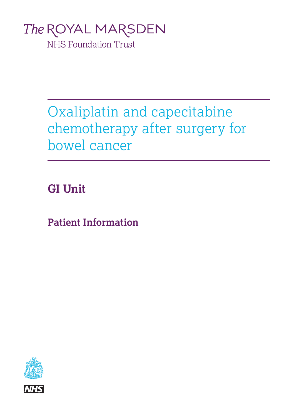# The ROYAL MARSDEN **NHS Foundation Trust**

Oxaliplatin and capecitabine chemotherapy after surgery for bowel cancer

**GI Unit**

**Patient Information**

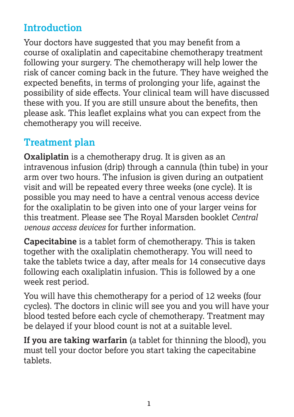## **Introduction**

Your doctors have suggested that you may benefit from a course of oxaliplatin and capecitabine chemotherapy treatment following your surgery. The chemotherapy will help lower the risk of cancer coming back in the future. They have weighed the expected benefits, in terms of prolonging your life, against the possibility of side effects. Your clinical team will have discussed these with you. If you are still unsure about the benefits, then please ask. This leaflet explains what you can expect from the chemotherapy you will receive.

#### **Treatment plan**

**Oxaliplatin** is a chemotherapy drug. It is given as an intravenous infusion (drip) through a cannula (thin tube) in your arm over two hours. The infusion is given during an outpatient visit and will be repeated every three weeks (one cycle). It is possible you may need to have a central venous access device for the oxaliplatin to be given into one of your larger veins for this treatment. Please see The Royal Marsden booklet *Central venous access devices* for further information.

**Capecitabine** is a tablet form of chemotherapy. This is taken together with the oxaliplatin chemotherapy. You will need to take the tablets twice a day, after meals for 14 consecutive days following each oxaliplatin infusion. This is followed by a one week rest period.

You will have this chemotherapy for a period of 12 weeks (four cycles). The doctors in clinic will see you and you will have your blood tested before each cycle of chemotherapy. Treatment may be delayed if your blood count is not at a suitable level.

**If you are taking warfarin** (a tablet for thinning the blood), you must tell your doctor before you start taking the capecitabine tablets.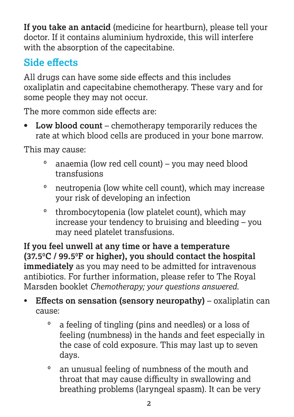**If you take an antacid** (medicine for heartburn), please tell your doctor. If it contains aluminium hydroxide, this will interfere with the absorption of the capecitabine.

## **Side effects**

All drugs can have some side effects and this includes oxaliplatin and capecitabine chemotherapy. These vary and for some people they may not occur.

The more common side effects are:

**• Low blood count** – chemotherapy temporarily reduces the rate at which blood cells are produced in your bone marrow.

This may cause:

- ⁰ anaemia (low red cell count) you may need blood transfusions
- ⁰ neutropenia (low white cell count), which may increase your risk of developing an infection
- ⁰ thrombocytopenia (low platelet count), which may increase your tendency to bruising and bleeding – you may need platelet transfusions.

**If you feel unwell at any time or have a temperature (37.50C / 99.50F or higher), you should contact the hospital immediately** as you may need to be admitted for intravenous antibiotics. For further information, please refer to The Royal Marsden booklet *Chemotherapy; your questions answered*.

- **Effects on sensation (sensory neuropathy)** oxaliplatin can cause:
	- <sup>o</sup> a feeling of tingling (pins and needles) or a loss of feeling (numbness) in the hands and feet especially in the case of cold exposure. This may last up to seven days.
	- <sup>o</sup> an unusual feeling of numbness of the mouth and throat that may cause difficulty in swallowing and breathing problems (laryngeal spasm). It can be very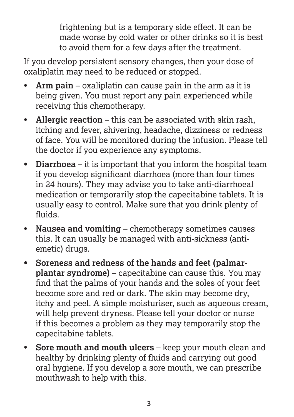frightening but is a temporary side effect. It can be made worse by cold water or other drinks so it is best to avoid them for a few days after the treatment.

If you develop persistent sensory changes, then your dose of oxaliplatin may need to be reduced or stopped.

- **Arm pain** oxaliplatin can cause pain in the arm as it is being given. You must report any pain experienced while receiving this chemotherapy.
- **Allergic reaction** this can be associated with skin rash, itching and fever, shivering, headache, dizziness or redness of face. You will be monitored during the infusion. Please tell the doctor if you experience any symptoms.
- **• Diarrhoea** it is important that you inform the hospital team if you develop significant diarrhoea (more than four times in 24 hours). They may advise you to take anti-diarrhoeal medication or temporarily stop the capecitabine tablets. It is usually easy to control. Make sure that you drink plenty of fluids.
- **Nausea and vomiting** chemotherapy sometimes causes this. It can usually be managed with anti-sickness (antiemetic) drugs.
- **• Soreness and redness of the hands and feet (palmarplantar syndrome)** – capecitabine can cause this. You may find that the palms of your hands and the soles of your feet become sore and red or dark. The skin may become dry, itchy and peel. A simple moisturiser, such as aqueous cream, will help prevent dryness. Please tell your doctor or nurse if this becomes a problem as they may temporarily stop the capecitabine tablets.
- **Sore mouth and mouth ulcers** keep your mouth clean and healthy by drinking plenty of fluids and carrying out good oral hygiene. If you develop a sore mouth, we can prescribe mouthwash to help with this.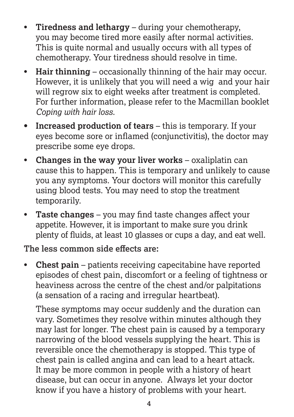- **Tiredness and lethargy** during your chemotherapy, you may become tired more easily after normal activities. This is quite normal and usually occurs with all types of chemotherapy. Your tiredness should resolve in time.
- **Hair thinning** occasionally thinning of the hair may occur. However, it is unlikely that you will need a wig and your hair will regrow six to eight weeks after treatment is completed. For further information, please refer to the Macmillan booklet *Coping with hair loss*.
- **• Increased production of tears** this is temporary. If your eyes become sore or inflamed (conjunctivitis), the doctor may prescribe some eye drops.
- **Changes in the way your liver works** oxaliplatin can cause this to happen. This is temporary and unlikely to cause you any symptoms. Your doctors will monitor this carefully using blood tests. You may need to stop the treatment temporarily.
- **Taste changes** you may find taste changes affect your appetite. However, it is important to make sure you drink plenty of fluids, at least 10 glasses or cups a day, and eat well.

**The less common side effects are:**

• **Chest pain** – patients receiving capecitabine have reported episodes of chest pain, discomfort or a feeling of tightness or heaviness across the centre of the chest and/or palpitations (a sensation of a racing and irregular heartbeat).

These symptoms may occur suddenly and the duration can vary. Sometimes they resolve within minutes although they may last for longer. The chest pain is caused by a temporary narrowing of the blood vessels supplying the heart. This is reversible once the chemotherapy is stopped. This type of chest pain is called angina and can lead to a heart attack. It may be more common in people with a history of heart disease, but can occur in anyone. Always let your doctor know if you have a history of problems with your heart.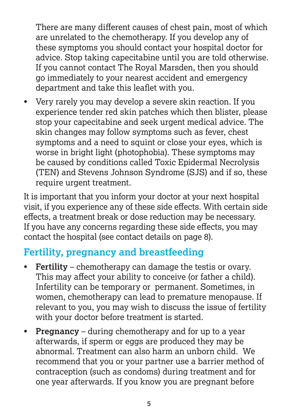There are many different causes of chest pain, most of which are unrelated to the chemotherapy. If you develop any of these symptoms you should contact your hospital doctor for advice. Stop taking capecitabine until you are told otherwise. If you cannot contact The Royal Marsden, then you should go immediately to your nearest accident and emergency department and take this leaflet with you.

• Very rarely you may develop a severe skin reaction. If you experience tender red skin patches which then blister, please stop your capecitabine and seek urgent medical advice. The skin changes may follow symptoms such as fever, chest symptoms and a need to squint or close your eyes, which is worse in bright light (photophobia). These symptoms may be caused by conditions called Toxic Epidermal Necrolysis (TEN) and Stevens Johnson Syndrome (SJS) and if so, these require urgent treatment.

It is important that you inform your doctor at your next hospital visit, if you experience any of these side effects. With certain side effects, a treatment break or dose reduction may be necessary. If you have any concerns regarding these side effects, you may contact the hospital (see contact details on page 8).

## **Fertility, pregnancy and breastfeeding**

- **Fertility** chemotherapy can damage the testis or ovary. This may affect your ability to conceive (or father a child). Infertility can be temporary or permanent. Sometimes, in women, chemotherapy can lead to premature menopause. If relevant to you, you may wish to discuss the issue of fertility with your doctor before treatment is started.
- **Pregnancy** during chemotherapy and for up to a year afterwards, if sperm or eggs are produced they may be abnormal. Treatment can also harm an unborn child. We recommend that you or your partner use a barrier method of contraception (such as condoms) during treatment and for one year afterwards. If you know you are pregnant before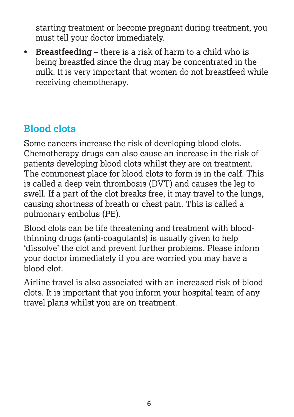starting treatment or become pregnant during treatment, you must tell your doctor immediately.

• **Breastfeeding** – there is a risk of harm to a child who is being breastfed since the drug may be concentrated in the milk. It is very important that women do not breastfeed while receiving chemotherapy.

## **Blood clots**

Some cancers increase the risk of developing blood clots. Chemotherapy drugs can also cause an increase in the risk of patients developing blood clots whilst they are on treatment. The commonest place for blood clots to form is in the calf. This is called a deep vein thrombosis (DVT) and causes the leg to swell. If a part of the clot breaks free, it may travel to the lungs, causing shortness of breath or chest pain. This is called a pulmonary embolus (PE).

Blood clots can be life threatening and treatment with bloodthinning drugs (anti-coagulants) is usually given to help 'dissolve' the clot and prevent further problems. Please inform your doctor immediately if you are worried you may have a blood clot.

Airline travel is also associated with an increased risk of blood clots. It is important that you inform your hospital team of any travel plans whilst you are on treatment.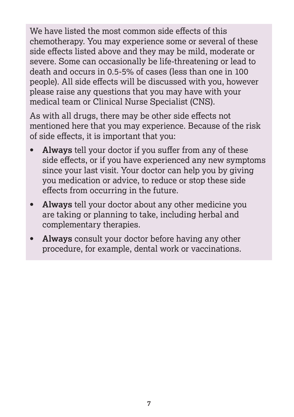We have listed the most common side effects of this chemotherapy. You may experience some or several of these side effects listed above and they may be mild, moderate or severe. Some can occasionally be life-threatening or lead to death and occurs in 0.5-5% of cases (less than one in 100 people). All side effects will be discussed with you, however please raise any questions that you may have with your medical team or Clinical Nurse Specialist (CNS).

As with all drugs, there may be other side effects not mentioned here that you may experience. Because of the risk of side effects, it is important that you:

- **• Always** tell your doctor if you suffer from any of these side effects, or if you have experienced any new symptoms since your last visit. Your doctor can help you by giving you medication or advice, to reduce or stop these side effects from occurring in the future.
- **• Always** tell your doctor about any other medicine you are taking or planning to take, including herbal and complementary therapies.
- **• Always** consult your doctor before having any other procedure, for example, dental work or vaccinations.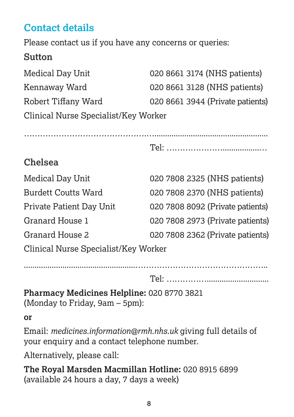## **Contact details**

Please contact us if you have any concerns or queries:

#### **Sutton**

| Medical Day Unit                     | 020 8661 3174 (NHS patients)     |
|--------------------------------------|----------------------------------|
| Kennaway Ward                        | 020 8661 3128 (NHS patients)     |
| Robert Tiffany Ward                  | 020 8661 3944 (Private patients) |
| Clinical Nurse Specialist/Key Worker |                                  |

……………………………………….….....................................................

Tel: ………………….................…

#### **Chelsea**

| Medical Day Unit                                                                                                                                                                                                                                                                                                                                                                  | 020 7808 2325 (NHS patients)     |
|-----------------------------------------------------------------------------------------------------------------------------------------------------------------------------------------------------------------------------------------------------------------------------------------------------------------------------------------------------------------------------------|----------------------------------|
| <b>Burdett Coutts Ward</b>                                                                                                                                                                                                                                                                                                                                                        | 020 7808 2370 (NHS patients)     |
| <b>Private Patient Day Unit</b>                                                                                                                                                                                                                                                                                                                                                   | 020 7808 8092 (Private patients) |
| Granard House 1                                                                                                                                                                                                                                                                                                                                                                   | 020 7808 2973 (Private patients) |
| Granard House 2                                                                                                                                                                                                                                                                                                                                                                   | 020 7808 2362 (Private patients) |
| $\bigcap$ $\bigcup$ $\bigcup$ $\bigcap$ $\bigcap$ $\bigcap$ $\bigcap$ $\bigcap$ $\bigcap$ $\bigcap$ $\bigcap$ $\bigcap$ $\bigcap$ $\bigcap$ $\bigcap$ $\bigcap$ $\bigcap$ $\bigcap$ $\bigcap$ $\bigcap$ $\bigcap$ $\bigcap$ $\bigcap$ $\bigcap$ $\bigcap$ $\bigcap$ $\bigcap$ $\bigcap$ $\bigcap$ $\bigcap$ $\bigcap$ $\bigcap$ $\bigcap$ $\bigcap$ $\bigcap$ $\bigcap$ $\bigcap$ |                                  |

Clinical Nurse Specialist/Key Worker

....................................................…………………………………………..

Tel: …………….............................

**Pharmacy Medicines Helpline:** 020 8770 3821

(Monday to Friday, 9am – 5pm):

**or**

Email: *medicines.information@rmh.nhs.uk* giving full details of your enquiry and a contact telephone number.

Alternatively, please call:

**The Royal Marsden Macmillan Hotline:** 020 8915 6899 (available 24 hours a day, 7 days a week)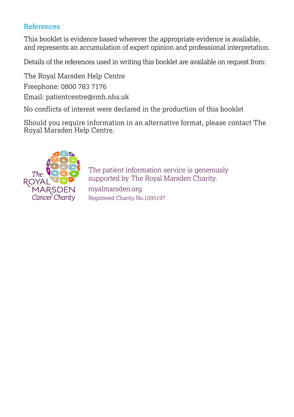#### **References**

This booklet is evidence based wherever the appropriate evidence is available, and represents an accumulation of expert opinion and professional interpretation.

Details of the references used in writing this booklet are available on request from:

The Royal Marsden Help Centre Freephone: 0800 783 7176

Email: patientcentre@rmh.nhs.uk

No conflicts of interest were declared in the production of this booklet

Should you require information in an alternative format, please contact The Royal Marsden Help Centre.



The patient information service is generously supported by The Royal Marsden Charity. royalmarsden.org Registered Charity No.1095197